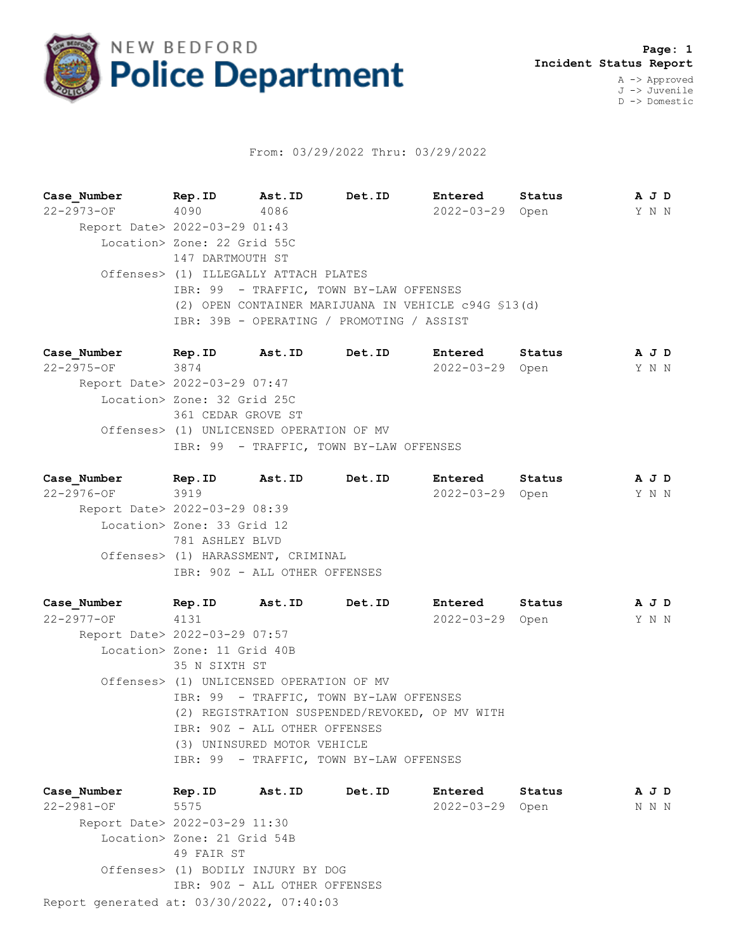

## From: 03/29/2022 Thru: 03/29/2022

**Case\_Number Rep.ID Ast.ID Det.ID Entered Status A J D** 22-2973-OF 4090 4086 2022-03-29 Open Y N N Report Date> 2022-03-29 01:43 Location> Zone: 22 Grid 55C 147 DARTMOUTH ST Offenses> (1) ILLEGALLY ATTACH PLATES IBR: 99 - TRAFFIC, TOWN BY-LAW OFFENSES (2) OPEN CONTAINER MARIJUANA IN VEHICLE c94G §13(d) IBR: 39B - OPERATING / PROMOTING / ASSIST

**Case\_Number Rep.ID Ast.ID Det.ID Entered Status A J D** 22-2975-OF 3874 2022-03-29 Open Y N N Report Date> 2022-03-29 07:47 Location> Zone: 32 Grid 25C 361 CEDAR GROVE ST Offenses> (1) UNLICENSED OPERATION OF MV IBR: 99 - TRAFFIC, TOWN BY-LAW OFFENSES

**Case\_Number Rep.ID Ast.ID Det.ID Entered Status A J D** 22-2976-OF 3919 2022-03-29 Open Y N N Report Date> 2022-03-29 08:39 Location> Zone: 33 Grid 12 781 ASHLEY BLVD Offenses> (1) HARASSMENT, CRIMINAL IBR: 90Z - ALL OTHER OFFENSES

**Case\_Number Rep.ID Ast.ID Det.ID Entered Status A J D** 22-2977-OF 4131 2022-03-29 Open Y N N Report Date> 2022-03-29 07:57 Location> Zone: 11 Grid 40B 35 N SIXTH ST Offenses> (1) UNLICENSED OPERATION OF MV IBR: 99 - TRAFFIC, TOWN BY-LAW OFFENSES (2) REGISTRATION SUSPENDED/REVOKED, OP MV WITH IBR: 90Z - ALL OTHER OFFENSES (3) UNINSURED MOTOR VEHICLE IBR: 99 - TRAFFIC, TOWN BY-LAW OFFENSES

Report generated at: 03/30/2022, 07:40:03 **Case\_Number Rep.ID Ast.ID Det.ID Entered Status A J D** 22-2981-OF 5575 2022-03-29 Open N N N Report Date> 2022-03-29 11:30 Location> Zone: 21 Grid 54B 49 FAIR ST Offenses> (1) BODILY INJURY BY DOG IBR: 90Z - ALL OTHER OFFENSES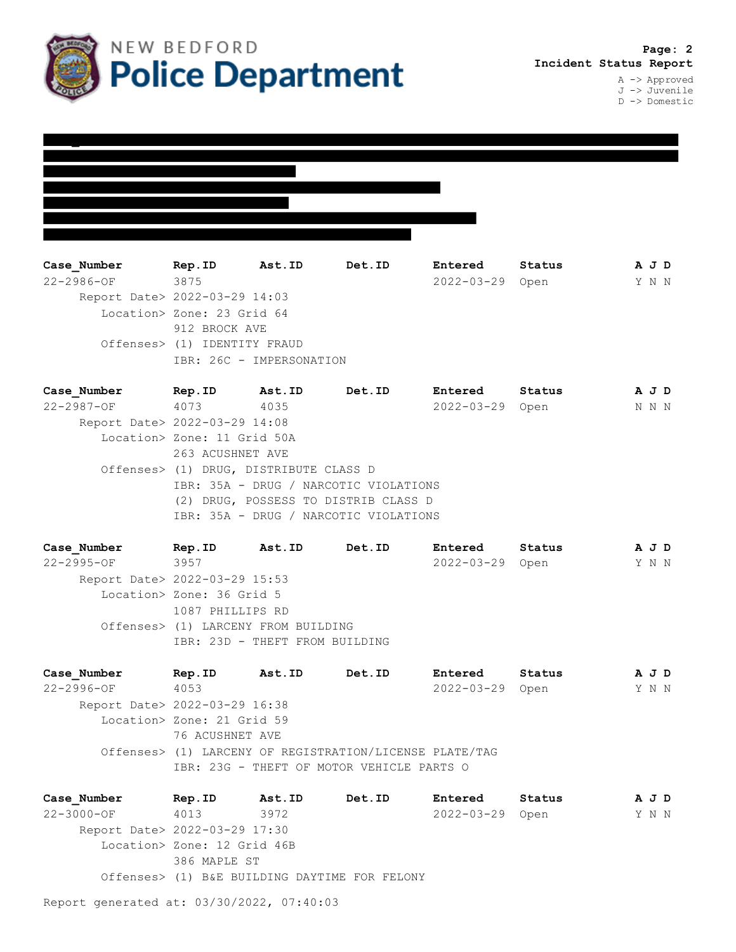

J -> Juvenile D -> Domestic